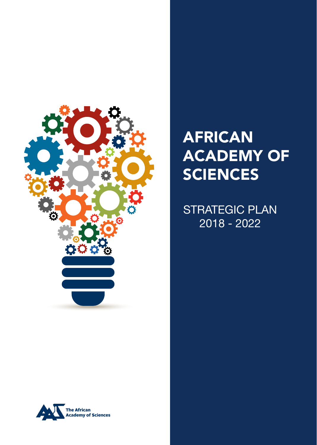

# AFRICAN ACADEMY OF **SCIENCES**

STRATEGIC PLAN 2018 - 2022

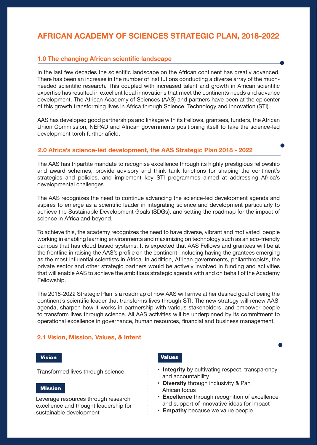# **AFRICAN ACADEMY OF SCIENCES STRATEGIC PLAN, 2018-2022**

# **1.0 The changing African scientific landscape**

In the last few decades the scientific landscape on the African continent has greatly advanced. There has been an increase in the number of institutions conducting a diverse array of the muchneeded scientific research. This coupled with increased talent and growth in African scientific expertise has resulted in excellent local innovations that meet the continents needs and advance development. The African Academy of Sciences (AAS) and partners have been at the epicenter of this growth transforming lives in Africa through Science, Technology and Innovation (STI).

AAS has developed good partnerships and linkage with its Fellows, grantees, funders, the African Union Commission, NEPAD and African governments positioning itself to take the science-led development torch further afield.

# **2.0 Africa's science-led development, the AAS Strategic Plan 2018 - 2022**

The AAS has tripartite mandate to recognise excellence through its highly prestigious fellowship and award schemes, provide advisory and think tank functions for shaping the continent's strategies and policies, and implement key STI programmes aimed at addressing Africa's developmental challenges.

The AAS recognizes the need to continue advancing the science-led development agenda and aspires to emerge as a scientific leader in integrating science and development particularly to achieve the Sustainable Development Goals (SDGs), and setting the roadmap for the impact of science in Africa and beyond.

To achieve this, the academy recognizes the need to have diverse, vibrant and motivated people working in enabling learning environments and maximizing on technology such as an eco-friendly campus that has cloud based systems. It is expected that AAS Fellows and grantees will be at the frontline in raising the AAS's profile on the continent, including having the grantees emerging as the most influential scientists in Africa. In addition, African governments, philanthropists, the private sector and other strategic partners would be actively involved in funding and activities that will enable AAS to achieve the ambitious strategic agenda with and on behalf of the Academy Fellowship.

The 2018-2022 Strategic Plan is a roadmap of how AAS will arrive at her desired goal of being the continent's scientific leader that transforms lives through STI. The new strategy will renew AAS' agenda, sharpen how it works in partnership with various stakeholders, and empower people to transform lives through science. All AAS activities will be underpinned by its commitment to operational excellence in governance, human resources, financial and business management.

## **2.1 Vision, Mission, Values, & Intent**

#### Vision

Transformed lives through science

#### Mission

Leverage resources through research excellence and thought leadership for sustainable development

# Values

- **Integrity** by cultivating respect, transparency and accountability
- **Diversity** through inclusivity & Pan African focus
- **Excellence** through recognition of excellence and support of innovative ideas for impact
- **Empathy** because we value people